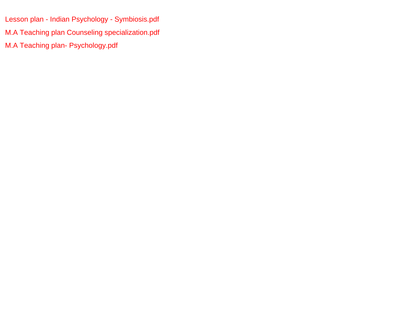[Lesson plan - Indian Psychology - Symbiosis.pdf](#page-1-0) [M.A Teaching plan Counseling specialization.pdf](#page-3-0) [M.A Teaching plan- Psychology.pdf](#page-11-0)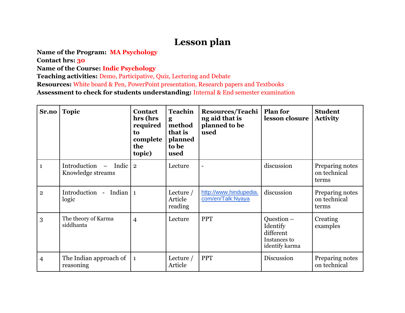## **Lesson plan**

<span id="page-1-0"></span>**Name of the Program: MA Psychology**

**Contact hrs: 30**

**Name of the Course: Indic Psychology**

**Teaching activities:** Demo, Participative, Quiz, Lecturing and Debate

**Resources:** White board & Pen, PowerPoint presentation, Research papers and Textbooks

**Assessment to check for students understanding:** Internal & End semester examination

| Sr.no          | <b>Topic</b>                                         | <b>Contact</b><br>hrs (hrs<br>required<br>to<br>complete<br>the<br>topic) | <b>Teachin</b><br>g<br>method<br>that is<br>planned<br>to be<br>used | <b>Resources/Teachi</b><br>ng aid that is<br>planned to be<br>used | <b>Plan for</b><br>lesson closure                                       | <b>Student</b><br><b>Activity</b>        |
|----------------|------------------------------------------------------|---------------------------------------------------------------------------|----------------------------------------------------------------------|--------------------------------------------------------------------|-------------------------------------------------------------------------|------------------------------------------|
| $\mathbf{1}$   | Introduction<br>Indic $\vert$ 2<br>Knowledge streams |                                                                           | Lecture                                                              |                                                                    | discussion                                                              | Preparing notes<br>on technical<br>terms |
| $\overline{2}$ | Introduction - Indian   1<br>logic                   |                                                                           | Lecture $/$<br>Article<br>reading                                    | http://www.hindupedia.<br>com/en/Talk:Nyaya                        | discussion                                                              | Preparing notes<br>on technical<br>terms |
| 3              | The theory of Karma<br>siddhanta                     | $\overline{4}$                                                            | Lecture                                                              | <b>PPT</b>                                                         | Question $-$<br>Identify<br>different<br>Instances to<br>identify karma | Creating<br>examples                     |
| $\overline{4}$ | The Indian approach of<br>reasoning                  | $\mathbf{1}$                                                              | Lecture $/$<br>Article                                               | <b>PPT</b>                                                         | Discussion                                                              | Preparing notes<br>on technical          |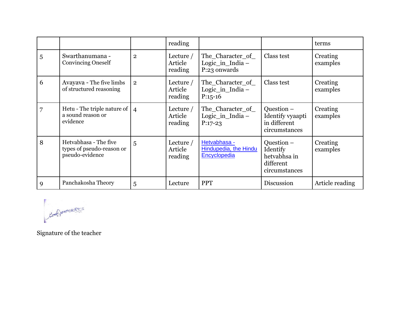|   |                                                                       |                | reading                           |                                                         |                                                                      | terms                |
|---|-----------------------------------------------------------------------|----------------|-----------------------------------|---------------------------------------------------------|----------------------------------------------------------------------|----------------------|
| 5 | Swarthanumana -<br><b>Convincing Oneself</b>                          | $\overline{2}$ | Lecture $/$<br>Article<br>reading | The_Character_of_<br>Logic_in_India $-$<br>P:23 onwards | Class test                                                           | Creating<br>examples |
| 6 | Avayava - The five limbs<br>of structured reasoning                   | $\overline{2}$ | Lecture $/$<br>Article<br>reading | The Character of<br>Logic_in_India $-$<br>$P:15-16$     | Class test                                                           | Creating<br>examples |
| 7 | Hetu - The triple nature of $ 4$<br>a sound reason or<br>evidence     |                | Lecture $/$<br>Article<br>reading | The Character of<br>Logic_in_India $-$<br>$P:17-23$     | Question -<br>Identify vyaapti<br>in different<br>circumstances      | Creating<br>examples |
| 8 | Hetvabhasa - The five<br>types of pseudo-reason or<br>pseudo-evidence | $\overline{5}$ | Lecture $/$<br>Article<br>reading | Hetvabhasa -<br>Hindupedia, the Hindu<br>Encyclopedia   | Question –<br>Identify<br>hetvabhsa in<br>different<br>circumstances | Creating<br>examples |
| 9 | Panchakosha Theory                                                    | 5              | Lecture                           | <b>PPT</b>                                              | Discussion                                                           | Article reading      |

Ased Processes

Signature of the teacher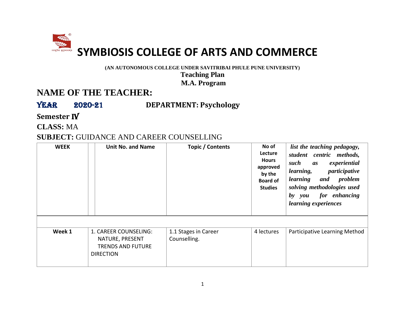<span id="page-3-0"></span>

**(AN AUTONOMOUS COLLEGE UNDER SAVITRIBAI PHULE PUNE UNIVERSITY)**

**Teaching Plan M.A. Program**

### **NAME OF THE TEACHER:**

Year 2020-21 **DEPARTMENT: Psychology**

**Semester** IV

**CLASS:** MA

#### **SUBJECT:** GUIDANCE AND CAREER COUNSELLING

| <b>WEEK</b> | <b>Unit No. and Name</b>                                                                 | Topic / Contents                     | No of<br>Lecture<br><b>Hours</b><br>approved<br>by the<br><b>Board of</b><br><b>Studies</b> | list the teaching pedagogy,<br>student centric methods,<br>experiential<br>such<br>as<br>participative<br>learning,<br>and problem<br>learning<br>solving methodologies used<br>by you<br>for enhancing<br><i>learning experiences</i> |
|-------------|------------------------------------------------------------------------------------------|--------------------------------------|---------------------------------------------------------------------------------------------|----------------------------------------------------------------------------------------------------------------------------------------------------------------------------------------------------------------------------------------|
| Week 1      | 1. CAREER COUNSELING:<br>NATURE, PRESENT<br><b>TRENDS AND FUTURE</b><br><b>DIRECTION</b> | 1.1 Stages in Career<br>Counselling. | 4 lectures                                                                                  | Participative Learning Method                                                                                                                                                                                                          |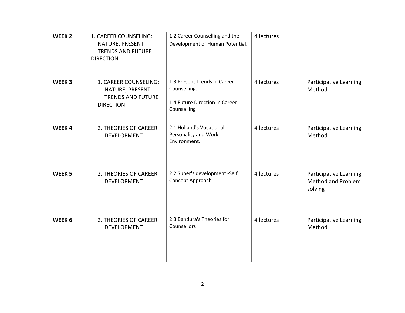| WEEK <sub>2</sub> | 1. CAREER COUNSELING:<br>NATURE, PRESENT<br><b>TRENDS AND FUTURE</b><br><b>DIRECTION</b> | 1.2 Career Counselling and the<br>Development of Human Potential.                             | 4 lectures |                                                         |
|-------------------|------------------------------------------------------------------------------------------|-----------------------------------------------------------------------------------------------|------------|---------------------------------------------------------|
| WEEK <sub>3</sub> | 1. CAREER COUNSELING:<br>NATURE, PRESENT<br><b>TRENDS AND FUTURE</b><br><b>DIRECTION</b> | 1.3 Present Trends in Career<br>Counselling.<br>1.4 Future Direction in Career<br>Counselling | 4 lectures | Participative Learning<br>Method                        |
| WEEK4             | 2. THEORIES OF CAREER<br><b>DEVELOPMENT</b>                                              | 2.1 Holland's Vocational<br>Personality and Work<br>Environment.                              | 4 lectures | Participative Learning<br>Method                        |
| WEEK <sub>5</sub> | 2. THEORIES OF CAREER<br>DEVELOPMENT                                                     | 2.2 Super's development -Self<br>Concept Approach                                             | 4 lectures | Participative Learning<br>Method and Problem<br>solving |
| WEEK <sub>6</sub> | 2. THEORIES OF CAREER<br><b>DEVELOPMENT</b>                                              | 2.3 Bandura's Theories for<br>Counsellors                                                     | 4 lectures | Participative Learning<br>Method                        |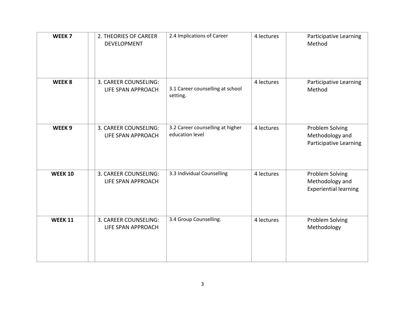| WEEK <sub>7</sub> | 2. THEORIES OF CAREER<br><b>DEVELOPMENT</b> | 2.4 Implications of Career                          | 4 lectures | Participative Learning<br>Method                                    |
|-------------------|---------------------------------------------|-----------------------------------------------------|------------|---------------------------------------------------------------------|
| WEEK <sub>8</sub> | 3. CAREER COUNSELING:<br>LIFE SPAN APPROACH | 3.1 Career counselling at school<br>setting.        | 4 lectures | Participative Learning<br>Method                                    |
| WEEK <sub>9</sub> | 3. CAREER COUNSELING:<br>LIFE SPAN APPROACH | 3.2 Career counselling at higher<br>education level | 4 lectures | Problem Solving<br>Methodology and<br><b>Participative Learning</b> |
| <b>WEEK 10</b>    | 3. CAREER COUNSELING:<br>LIFE SPAN APPROACH | 3.3 Individual Counselling                          | 4 lectures | Problem Solving<br>Methodology and<br><b>Experiential learning</b>  |
| <b>WEEK 11</b>    | 3. CAREER COUNSELING:<br>LIFE SPAN APPROACH | 3.4 Group Counselling.                              | 4 lectures | Problem Solving<br>Methodology                                      |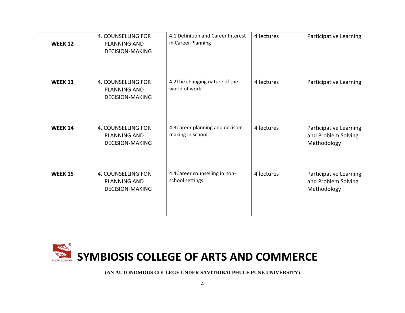| <b>WEEK 12</b> | <b>4. COUNSELLING FOR</b><br><b>PLANNING AND</b><br><b>DECISION-MAKING</b> | 4.1 Definition and Career Interest<br>in Career Planning | 4 lectures | Participative Learning                                       |
|----------------|----------------------------------------------------------------------------|----------------------------------------------------------|------------|--------------------------------------------------------------|
| <b>WEEK 13</b> | 4. COUNSELLING FOR<br><b>PLANNING AND</b><br><b>DECISION-MAKING</b>        | 4.2The changing nature of the<br>world of work           | 4 lectures | Participative Learning                                       |
| <b>WEEK 14</b> | 4. COUNSELLING FOR<br><b>PLANNING AND</b><br><b>DECISION-MAKING</b>        | 4.3 Career planning and decision<br>making in school     | 4 lectures | Participative Learning<br>and Problem Solving<br>Methodology |
| <b>WEEK 15</b> | <b>4. COUNSELLING FOR</b><br><b>PLANNING AND</b><br><b>DECISION-MAKING</b> | 4.4 Career counselling in non-<br>school settings.       | 4 lectures | Participative Learning<br>and Problem Solving<br>Methodology |



**(AN AUTONOMOUS COLLEGE UNDER SAVITRIBAI PHULE PUNE UNIVERSITY)**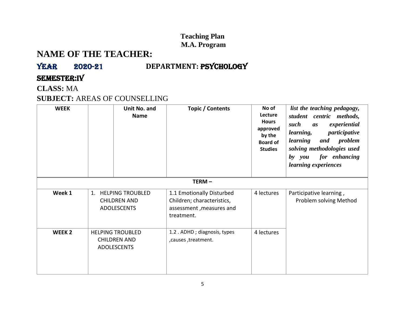#### **Teaching Plan M.A. Program**

## **NAME OF THE TEACHER:**

## YEAR 2020-21 **DEPARTMENT: PSYCHOLOGY**

#### Semester:IV

**CLASS:** MA

#### **SUBJECT:** AREAS OF COUNSELLING

| <b>WEEK</b>       | Unit No. and<br><b>Name</b>                                                | Topic / Contents                                                                                  | No of<br>Lecture<br><b>Hours</b><br>approved<br>by the<br><b>Board of</b><br><b>Studies</b> | list the teaching pedagogy,<br>student centric methods,<br>such<br>experiential<br>as<br>participative<br>learning,<br>problem<br>learning<br>and<br>solving methodologies used<br>for enhancing<br>by you<br>learning experiences |
|-------------------|----------------------------------------------------------------------------|---------------------------------------------------------------------------------------------------|---------------------------------------------------------------------------------------------|------------------------------------------------------------------------------------------------------------------------------------------------------------------------------------------------------------------------------------|
|                   |                                                                            | TERM-                                                                                             |                                                                                             |                                                                                                                                                                                                                                    |
| Week 1            | <b>HELPING TROUBLED</b><br>1.<br><b>CHILDREN AND</b><br><b>ADOLESCENTS</b> | 1.1 Emotionally Disturbed<br>Children; characteristics,<br>assessment, measures and<br>treatment. | 4 lectures                                                                                  | Participative learning,<br>Problem solving Method                                                                                                                                                                                  |
| WEEK <sub>2</sub> | <b>HELPING TROUBLED</b><br><b>CHILDREN AND</b><br><b>ADOLESCENTS</b>       | 1.2. ADHD; diagnosis, types<br>, causes, treatment.                                               | 4 lectures                                                                                  |                                                                                                                                                                                                                                    |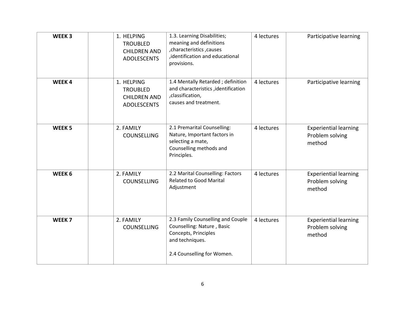| WEEK <sub>3</sub> | 1. HELPING<br><b>TROUBLED</b><br><b>CHILDREN AND</b><br><b>ADOLESCENTS</b> | 1.3. Learning Disabilities;<br>meaning and definitions<br>, characteristics, causes<br>, identification and educational<br>provisions.   | 4 lectures | Participative learning                                    |
|-------------------|----------------------------------------------------------------------------|------------------------------------------------------------------------------------------------------------------------------------------|------------|-----------------------------------------------------------|
| WEEK4             | 1. HELPING<br><b>TROUBLED</b><br><b>CHILDREN AND</b><br><b>ADOLESCENTS</b> | 1.4 Mentally Retarded; definition<br>and characteristics , identification<br>,classification,<br>causes and treatment.                   | 4 lectures | Participative learning                                    |
| WEEK <sub>5</sub> | 2. FAMILY<br><b>COUNSELLING</b>                                            | 2.1 Premarital Counselling:<br>Nature, Important factors in<br>selecting a mate,<br>Counselling methods and<br>Principles.               | 4 lectures | <b>Experiential learning</b><br>Problem solving<br>method |
| WEEK <sub>6</sub> | 2. FAMILY<br><b>COUNSELLING</b>                                            | 2.2 Marital Counselling: Factors<br><b>Related to Good Marital</b><br>Adjustment                                                         | 4 lectures | <b>Experiential learning</b><br>Problem solving<br>method |
| WEEK <sub>7</sub> | 2. FAMILY<br><b>COUNSELLING</b>                                            | 2.3 Family Counselling and Couple<br>Counselling: Nature, Basic<br>Concepts, Principles<br>and techniques.<br>2.4 Counselling for Women. | 4 lectures | <b>Experiential learning</b><br>Problem solving<br>method |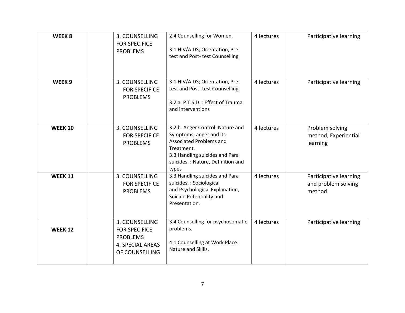| WEEK <sub>8</sub> | 3. COUNSELLING<br><b>FOR SPECIFICE</b><br><b>PROBLEMS</b>                                              | 2.4 Counselling for Women.<br>3.1 HIV/AIDS; Orientation, Pre-<br>test and Post-test Counselling                                                                                             | 4 lectures | Participative learning                                  |
|-------------------|--------------------------------------------------------------------------------------------------------|---------------------------------------------------------------------------------------------------------------------------------------------------------------------------------------------|------------|---------------------------------------------------------|
| WEEK <sub>9</sub> | 3. COUNSELLING<br><b>FOR SPECIFICE</b><br><b>PROBLEMS</b>                                              | 3.1 HIV/AIDS; Orientation, Pre-<br>test and Post- test Counselling<br>3.2 a. P.T.S.D.: Effect of Trauma<br>and interventions                                                                | 4 lectures | Participative learning                                  |
| <b>WEEK 10</b>    | 3. COUNSELLING<br><b>FOR SPECIFICE</b><br><b>PROBLEMS</b>                                              | 3.2 b. Anger Control: Nature and<br>Symptoms, anger and its<br><b>Associated Problems and</b><br>Treatment.<br>3.3 Handling suicides and Para<br>suicides.: Nature, Definition and<br>types | 4 lectures | Problem solving<br>method, Experiential<br>learning     |
| <b>WEEK 11</b>    | 3. COUNSELLING<br><b>FOR SPECIFICE</b><br><b>PROBLEMS</b>                                              | 3.3 Handling suicides and Para<br>suicides. : Sociological<br>and Psychological Explanation,<br>Suicide Potentiality and<br>Presentation.                                                   | 4 lectures | Participative learning<br>and problem solving<br>method |
| <b>WEEK 12</b>    | 3. COUNSELLING<br><b>FOR SPECIFICE</b><br><b>PROBLEMS</b><br><b>4. SPECIAL AREAS</b><br>OF COUNSELLING | 3.4 Counselling for psychosomatic<br>problems.<br>4.1 Counselling at Work Place:<br>Nature and Skills.                                                                                      | 4 lectures | Participative learning                                  |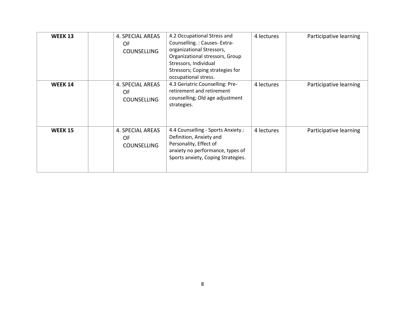| <b>WEEK 13</b> | 4. SPECIAL AREAS<br>0F<br><b>COUNSELLING</b> | 4.2 Occupational Stress and<br>Counselling.: Causes-Extra-<br>organizational Stressors,<br>Organizational stressors, Group<br>Stressors, Individual<br>Stressors; Coping strategies for<br>occupational stress. | 4 lectures | Participative learning |
|----------------|----------------------------------------------|-----------------------------------------------------------------------------------------------------------------------------------------------------------------------------------------------------------------|------------|------------------------|
| <b>WEEK 14</b> | 4. SPECIAL AREAS<br>0F<br><b>COUNSELLING</b> | 4.3 Geriatric Counselling: Pre-<br>retirement and retirement<br>counselling; Old age adjustment<br>strategies.                                                                                                  | 4 lectures | Participative learning |
| <b>WEEK 15</b> | 4. SPECIAL AREAS<br>0F<br><b>COUNSELLING</b> | 4.4 Counselling - Sports Anxiety.:<br>Definition, Anxiety and<br>Personality, Effect of<br>anxiety no performance, types of<br>Sports anxiety, Coping Strategies.                                               | 4 lectures | Participative learning |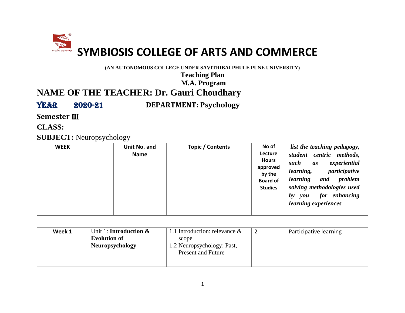<span id="page-11-0"></span>

**(AN AUTONOMOUS COLLEGE UNDER SAVITRIBAI PHULE PUNE UNIVERSITY)**

**Teaching Plan**

**M.A. Program**

## **NAME OF THE TEACHER: Dr. Gauri Choudhary**

Year 2020-21 **DEPARTMENT: Psychology**

**Semester** III

**CLASS:**

#### **SUBJECT:** Neuropsychology

| <b>WEEK</b> | Unit No. and<br><b>Name</b>                                                        | Topic / Contents                                                                                     | No of<br>Lecture<br><b>Hours</b><br>approved<br>by the<br><b>Board of</b><br><b>Studies</b> | list the teaching pedagogy,<br>student centric methods,<br>such<br>experiential<br>as<br>participative<br>learning,<br>learning and problem<br>solving methodologies used<br>by you for enhancing<br>learning experiences |
|-------------|------------------------------------------------------------------------------------|------------------------------------------------------------------------------------------------------|---------------------------------------------------------------------------------------------|---------------------------------------------------------------------------------------------------------------------------------------------------------------------------------------------------------------------------|
|             |                                                                                    |                                                                                                      |                                                                                             |                                                                                                                                                                                                                           |
| Week 1      | Unit 1: <b>Introduction &amp;</b><br><b>Evolution of</b><br><b>Neuropsychology</b> | 1.1 Introduction: relevance $\&$<br>scope<br>1.2 Neuropsychology: Past,<br><b>Present and Future</b> | $\overline{2}$                                                                              | Participative learning                                                                                                                                                                                                    |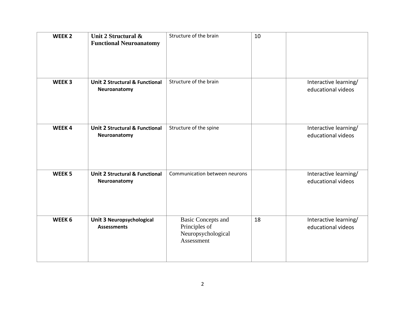| WEEK <sub>2</sub> | Unit 2 Structural &<br><b>Functional Neuroanatomy</b>     | Structure of the brain                                                         | 10 |                                             |
|-------------------|-----------------------------------------------------------|--------------------------------------------------------------------------------|----|---------------------------------------------|
| WEEK <sub>3</sub> | <b>Unit 2 Structural &amp; Functional</b><br>Neuroanatomy | Structure of the brain                                                         |    | Interactive learning/<br>educational videos |
| WEEK4             | <b>Unit 2 Structural &amp; Functional</b><br>Neuroanatomy | Structure of the spine                                                         |    | Interactive learning/<br>educational videos |
| WEEK <sub>5</sub> | <b>Unit 2 Structural &amp; Functional</b><br>Neuroanatomy | Communication between neurons                                                  |    | Interactive learning/<br>educational videos |
| WEEK <sub>6</sub> | <b>Unit 3 Neuropsychological</b><br><b>Assessments</b>    | <b>Basic Concepts and</b><br>Principles of<br>Neuropsychological<br>Assessment | 18 | Interactive learning/<br>educational videos |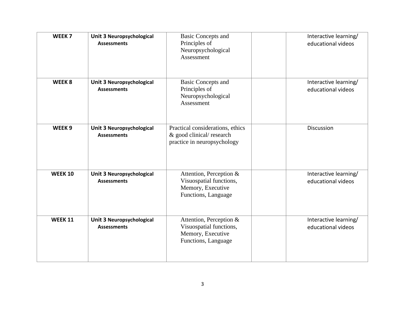| WEEK <sub>7</sub> | Unit 3 Neuropsychological<br><b>Assessments</b>        | <b>Basic Concepts and</b><br>Principles of<br>Neuropsychological<br>Assessment                 | Interactive learning/<br>educational videos |
|-------------------|--------------------------------------------------------|------------------------------------------------------------------------------------------------|---------------------------------------------|
| WEEK <sub>8</sub> | <b>Unit 3 Neuropsychological</b><br><b>Assessments</b> | <b>Basic Concepts and</b><br>Principles of<br>Neuropsychological<br>Assessment                 | Interactive learning/<br>educational videos |
| WEEK <sub>9</sub> | Unit 3 Neuropsychological<br><b>Assessments</b>        | Practical considerations, ethics<br>& good clinical/research<br>practice in neuropsychology    | Discussion                                  |
| <b>WEEK 10</b>    | Unit 3 Neuropsychological<br><b>Assessments</b>        | Attention, Perception &<br>Visuospatial functions,<br>Memory, Executive<br>Functions, Language | Interactive learning/<br>educational videos |
| <b>WEEK 11</b>    | <b>Unit 3 Neuropsychological</b><br><b>Assessments</b> | Attention, Perception &<br>Visuospatial functions,<br>Memory, Executive<br>Functions, Language | Interactive learning/<br>educational videos |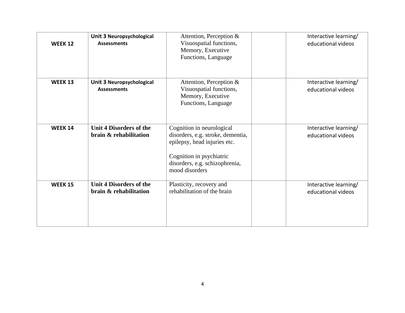| <b>WEEK 12</b> | Unit 3 Neuropsychological<br><b>Assessments</b>          | Attention, Perception &<br>Visuospatial functions,<br>Memory, Executive<br>Functions, Language                                                                                 | Interactive learning/<br>educational videos |
|----------------|----------------------------------------------------------|--------------------------------------------------------------------------------------------------------------------------------------------------------------------------------|---------------------------------------------|
| <b>WEEK 13</b> | Unit 3 Neuropsychological<br><b>Assessments</b>          | Attention, Perception &<br>Visuospatial functions,<br>Memory, Executive<br>Functions, Language                                                                                 | Interactive learning/<br>educational videos |
| <b>WEEK 14</b> | <b>Unit 4 Disorders of the</b><br>brain & rehabilitation | Cognition in neurological<br>disorders, e.g. stroke, dementia,<br>epilepsy, head injuries etc.<br>Cognition in psychiatric<br>disorders, e.g. schizophrenia,<br>mood disorders | Interactive learning/<br>educational videos |
| <b>WEEK 15</b> | Unit 4 Disorders of the<br>brain & rehabilitation        | Plasticity, recovery and<br>rehabilitation of the brain                                                                                                                        | Interactive learning/<br>educational videos |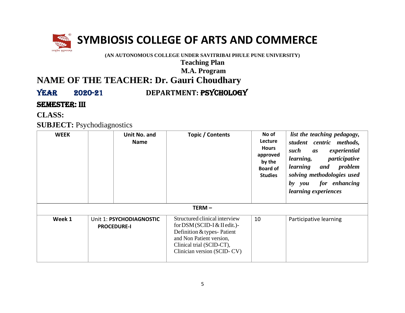

# **SYMBIOSIS COLLEGE OF ARTS AND COMMERCE**

**(AN AUTONOMOUS COLLEGE UNDER SAVITRIBAI PHULE PUNE UNIVERSITY)**

**Teaching Plan**

#### **M.A. Program**

## **NAME OF THE TEACHER: Dr. Gauri Choudhary**

## YEAR 2020-21 **DEPARTMENT: PSYCHOLOGY**

**SEMESTER: III** 

**CLASS:**

**SUBJECT:** Psychodiagnostics

| <b>WEEK</b> | Unit No. and<br><b>Name</b>                    | Topic / Contents                                                                                                                                                                   | No of<br>Lecture<br><b>Hours</b><br>approved<br>by the<br><b>Board of</b><br><b>Studies</b> | list the teaching pedagogy,<br>student centric methods,<br>experiential<br>such<br>as<br>participative<br>learning,<br>and problem<br>learning<br>solving methodologies used<br>for enhancing<br>by you<br>learning experiences |
|-------------|------------------------------------------------|------------------------------------------------------------------------------------------------------------------------------------------------------------------------------------|---------------------------------------------------------------------------------------------|---------------------------------------------------------------------------------------------------------------------------------------------------------------------------------------------------------------------------------|
|             |                                                | $TERM -$                                                                                                                                                                           |                                                                                             |                                                                                                                                                                                                                                 |
| Week 1      | Unit 1: PSYCHODIAGNOSTIC<br><b>PROCEDURE-I</b> | Structured clinical interview<br>for $DSM (SCID-I & Hedit.)$<br>Definition & types-Patient<br>and Non Patient version,<br>Clinical trial (SCID-CT),<br>Clinician version (SCID-CV) | 10                                                                                          | Participative learning                                                                                                                                                                                                          |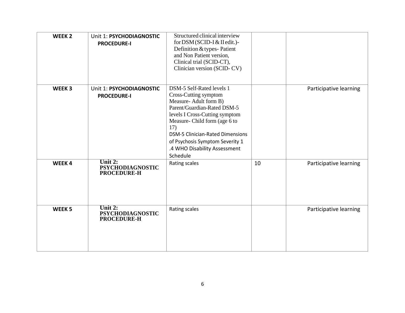| WEEK <sub>2</sub> | Unit 1: PSYCHODIAGNOSTIC<br><b>PROCEDURE-I</b>             | Structured clinical interview<br>for DSM (SCID-I & II edit.)-<br>Definition & types-Patient<br>and Non Patient version,<br>Clinical trial (SCID-CT),<br>Clinician version (SCID-CV)                                                                                                                            |    |                        |
|-------------------|------------------------------------------------------------|----------------------------------------------------------------------------------------------------------------------------------------------------------------------------------------------------------------------------------------------------------------------------------------------------------------|----|------------------------|
| WEEK <sub>3</sub> | Unit 1: PSYCHODIAGNOSTIC<br><b>PROCEDURE-I</b>             | DSM-5 Self-Rated levels 1<br>Cross-Cutting symptom<br>Measure-Adult form B)<br>Parent/Guardian-Rated DSM-5<br>levels I Cross-Cutting symptom<br>Measure- Child form (age 6 to<br>17)<br><b>DSM-5 Clinician-Rated Dimensions</b><br>of Psychosis Symptom Severity 1<br>.4 WHO Disability Assessment<br>Schedule |    | Participative learning |
| WEEK4             | Unit $2:$<br><b>PSYCHODIAGNOSTIC</b><br><b>PROCEDURE-H</b> | Rating scales                                                                                                                                                                                                                                                                                                  | 10 | Participative learning |
| WEEK <sub>5</sub> | Unit $2:$<br><b>PSYCHODIAGNOSTIC</b><br><b>PROCEDURE-H</b> | Rating scales                                                                                                                                                                                                                                                                                                  |    | Participative learning |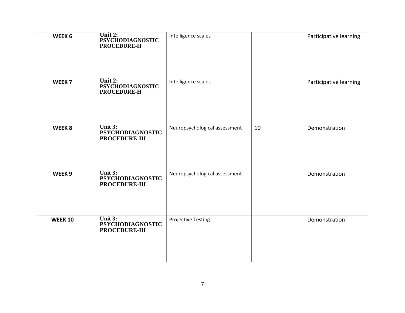| WEEK 6            | Unit 2:<br><b>PSYCHODIAGNOSTIC</b><br>PROCEDURE-H     | Intelligence scales           |    | Participative learning |
|-------------------|-------------------------------------------------------|-------------------------------|----|------------------------|
| WEEK <sub>7</sub> | Unit 2:<br><b>PSYCHODIAGNOSTIC</b><br>PROCEDURE-H     | Intelligence scales           |    | Participative learning |
| WEEK8             | Unit $3:$<br><b>PSYCHODIAGNOSTIC</b><br>PROCEDURE-III | Neuropsychological assessment | 10 | Demonstration          |
| WEEK <sub>9</sub> | Unit 3:<br><b>PSYCHODIAGNOSTIC</b><br>PROCEDURE-III   | Neuropsychological assessment |    | Demonstration          |
| <b>WEEK 10</b>    | Unit $3:$<br><b>PSYCHODIAGNOSTIC</b><br>PROCEDURE-III | <b>Projective Testing</b>     |    | Demonstration          |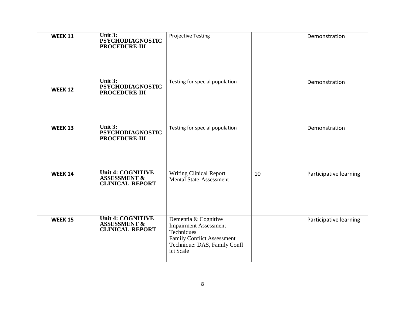| <b>WEEK 11</b> | Unit 3:<br><b>PSYCHODIAGNOSTIC</b><br><b>PROCEDURE-III</b>                    | <b>Projective Testing</b>                                                                                                                            |    | Demonstration          |
|----------------|-------------------------------------------------------------------------------|------------------------------------------------------------------------------------------------------------------------------------------------------|----|------------------------|
| <b>WEEK 12</b> | Unit 3:<br><b>PSYCHODIAGNOSTIC</b><br><b>PROCEDURE-III</b>                    | Testing for special population                                                                                                                       |    | Demonstration          |
| <b>WEEK 13</b> | Unit 3:<br><b>PSYCHODIAGNOSTIC</b><br>PROCEDURE-III                           | Testing for special population                                                                                                                       |    | Demonstration          |
| <b>WEEK 14</b> | <b>Unit 4: COGNITIVE</b><br><b>ASSESSMENT &amp;</b><br><b>CLINICAL REPORT</b> | <b>Writing Clinical Report</b><br><b>Mental State Assessment</b>                                                                                     | 10 | Participative learning |
| <b>WEEK 15</b> | <b>Unit 4: COGNITIVE</b><br><b>ASSESSMENT &amp;</b><br><b>CLINICAL REPORT</b> | Dementia & Cognitive<br><b>Impairment Assessment</b><br>Techniques<br><b>Family Conflict Assessment</b><br>Technique: DAS, Family Confl<br>ict Scale |    | Participative learning |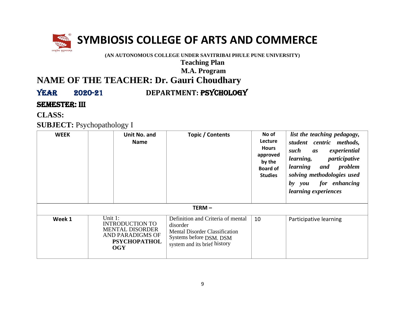

# **SYMBIOSIS COLLEGE OF ARTS AND COMMERCE**

**(AN AUTONOMOUS COLLEGE UNDER SAVITRIBAI PHULE PUNE UNIVERSITY)**

**Teaching Plan**

#### **M.A. Program**

## **NAME OF THE TEACHER: Dr. Gauri Choudhary**

YEAR 2020-21 **DEPARTMENT: PSYCHOLOGY** 

**SEMESTER: III** 

**CLASS:**

**SUBJECT:** Psychopathology I

| <b>WEEK</b> | Unit No. and<br><b>Name</b>                                                                                                 | Topic / Contents                                                                                                                                  | No of<br><b>Lecture</b><br><b>Hours</b><br>approved<br>by the<br><b>Board of</b><br><b>Studies</b> | list the teaching pedagogy,<br>student centric methods,<br>experiential<br>such<br>as<br>participative<br>learning,<br>problem<br>learning<br>and<br>solving methodologies used<br>for enhancing<br>by you<br><i>learning experiences</i> |
|-------------|-----------------------------------------------------------------------------------------------------------------------------|---------------------------------------------------------------------------------------------------------------------------------------------------|----------------------------------------------------------------------------------------------------|-------------------------------------------------------------------------------------------------------------------------------------------------------------------------------------------------------------------------------------------|
|             |                                                                                                                             | TERM-                                                                                                                                             |                                                                                                    |                                                                                                                                                                                                                                           |
| Week 1      | Unit 1:<br><b>INTRODUCTION TO</b><br><b>MENTAL DISORDER</b><br><b>AND PARADIGMS OF</b><br><b>PSYCHOPATHOL</b><br><b>OGY</b> | Definition and Criteria of mental<br>disorder<br><b>Mental Disorder Classification</b><br>Systems before DSM. DSM<br>system and its brief history | 10                                                                                                 | Participative learning                                                                                                                                                                                                                    |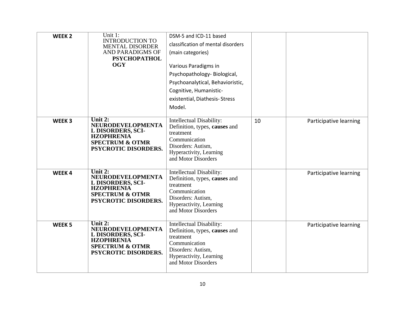| WEEK <sub>2</sub> | Unit 1:<br><b>INTRODUCTION TO</b><br><b>MENTAL DISORDER</b><br><b>AND PARADIGMS OF</b><br><b>PSYCHOPATHOL</b><br><b>OGY</b>         | DSM-5 and ICD-11 based<br>classification of mental disorders<br>(main categories)<br>Various Paradigms in<br>Psychopathology-Biological,<br>Psychoanalytical, Behavioristic,<br>Cognitive, Humanistic-<br>existential, Diathesis-Stress<br>Model. |    |                        |
|-------------------|-------------------------------------------------------------------------------------------------------------------------------------|---------------------------------------------------------------------------------------------------------------------------------------------------------------------------------------------------------------------------------------------------|----|------------------------|
| WEEK <sub>3</sub> | Unit $2:$<br>NEURODEVELOPMENTA<br>L DISORDERS, SCI-<br><b>HZOPHRENIA</b><br><b>SPECTRUM &amp; OTMR</b><br>PSYCROTIC DISORDERS.      | Intellectual Disability:<br>Definition, types, causes and<br>treatment<br>Communication<br>Disorders: Autism,<br>Hyperactivity, Learning<br>and Motor Disorders                                                                                   | 10 | Participative learning |
| WEEK4             | Unit $2:$<br>NEURODEVELOPMENTA<br>L DISORDERS, SCI-<br><b>HZOPHRENIA</b><br><b>SPECTRUM &amp; OTMR</b><br>PSYCROTIC DISORDERS.      | Intellectual Disability:<br>Definition, types, causes and<br>treatment<br>Communication<br>Disorders: Autism,<br>Hyperactivity, Learning<br>and Motor Disorders                                                                                   |    | Participative learning |
| WEEK <sub>5</sub> | Unit 2:<br><b>NEURODEVELOPMENTA</b><br>L DISORDERS, SCI-<br><b>HZOPHRENIA</b><br><b>SPECTRUM &amp; OTMR</b><br>PSYCROTIC DISORDERS. | Intellectual Disability:<br>Definition, types, causes and<br>treatment<br>Communication<br>Disorders: Autism,<br>Hyperactivity, Learning<br>and Motor Disorders                                                                                   |    | Participative learning |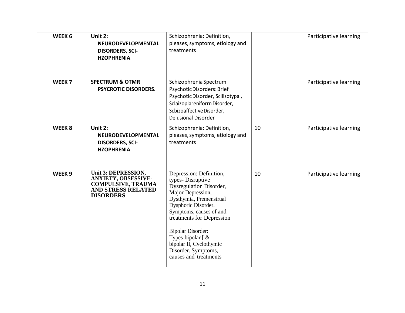| WEEK <sub>6</sub> | Unit 2:<br><b>NEURODEVELOPMENTAL</b><br><b>DISORDERS, SCI-</b><br><b>HZOPHRENIA</b>                                      | Schizophrenia: Definition,<br>pleases, symptoms, etiology and<br>treatments                                                                                                                                                                                                                                                                                 |    | Participative learning |
|-------------------|--------------------------------------------------------------------------------------------------------------------------|-------------------------------------------------------------------------------------------------------------------------------------------------------------------------------------------------------------------------------------------------------------------------------------------------------------------------------------------------------------|----|------------------------|
| WEEK <sub>7</sub> | <b>SPECTRUM &amp; OTMR</b><br><b>PSYCROTIC DISORDERS.</b>                                                                | Schizophrenia Spectrum<br>Psychotic Disorders: Brief<br>Psychotic Disorder, Scliizotypal,<br>Sclaizoplareniforrn Disorder,<br>Scbizoaffective Disorder,<br><b>Delusional Disorder</b>                                                                                                                                                                       |    | Participative learning |
| WEEK8             | Unit 2:<br><b>NEURODEVELOPMENTAL</b><br><b>DISORDERS, SCI-</b><br><b>HZOPHRENIA</b>                                      | Schizophrenia: Definition,<br>pleases, symptoms, etiology and<br>treatments                                                                                                                                                                                                                                                                                 | 10 | Participative learning |
| WEEK <sub>9</sub> | Unit 3: DEPRESSION,<br>ANXIETY, OBSESSIVE-<br><b>COMPULSIVE, TRAUMA</b><br><b>AND STRESS RELATED</b><br><b>DISORDERS</b> | Depression: Definition,<br>types-Disruptive<br><b>Dysregulation Disorder,</b><br>Major Depression,<br>Dysthymia, Premenstrual<br>Dysphoric Disorder.<br>Symptoms, causes of and<br>treatments for Depression<br><b>Bipolar Disorder:</b><br>Types-bipolar $\lceil \alpha \rceil$<br>bipolar II, Cyclothymic<br>Disorder. Symptoms,<br>causes and treatments | 10 | Participative learning |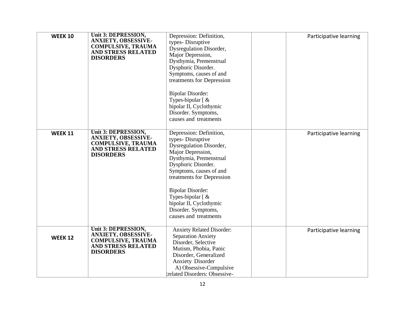| <b>WEEK 10</b> | Unit 3: DEPRESSION,<br><b>ANXIETY, OBSESSIVE-</b><br><b>COMPULSIVE, TRAUMA</b><br><b>AND STRESS RELATED</b><br><b>DISORDERS</b>        | Depression: Definition,<br>types-Disruptive<br><b>Dysregulation Disorder,</b><br>Major Depression,<br>Dysthymia, Premenstrual<br>Dysphoric Disorder.<br>Symptoms, causes of and<br>treatments for Depression<br><b>Bipolar Disorder:</b><br>Types-bipolar [ &<br>bipolar II, Cyclothymic<br>Disorder. Symptoms,<br>causes and treatments             | Participative learning |
|----------------|----------------------------------------------------------------------------------------------------------------------------------------|------------------------------------------------------------------------------------------------------------------------------------------------------------------------------------------------------------------------------------------------------------------------------------------------------------------------------------------------------|------------------------|
| <b>WEEK 11</b> | Unit 3: DEPRESSION,<br><b>ANXIETY, OBSESSIVE-</b><br><b>COMPULSIVE, TRAUMA</b><br><b>AND STRESS RELATED</b><br><b>DISORDERS</b>        | Depression: Definition,<br>types-Disruptive<br>Dysregulation Disorder,<br>Major Depression,<br>Dysthymia, Premenstrual<br>Dysphoric Disorder.<br>Symptoms, causes of and<br>treatments for Depression<br><b>Bipolar Disorder:</b><br>Types-bipolar $\lceil \alpha \rceil$<br>bipolar II, Cyclothymic<br>Disorder. Symptoms,<br>causes and treatments | Participative learning |
| <b>WEEK 12</b> | <b>Unit 3: DEPRESSION,</b><br><b>ANXIETY, OBSESSIVE-</b><br><b>COMPULSIVE, TRAUMA</b><br><b>AND STRESS RELATED</b><br><b>DISORDERS</b> | <b>Anxiety Related Disorder:</b><br><b>Separation Anxiety</b><br>Disorder, Selective<br>Mutism, Phobia, Panic<br>Disorder, Generalized<br><b>Anxiety Disorder</b><br>A) Obsessive-Compulsive<br>related Disorders: Obsessive-                                                                                                                        | Participative learning |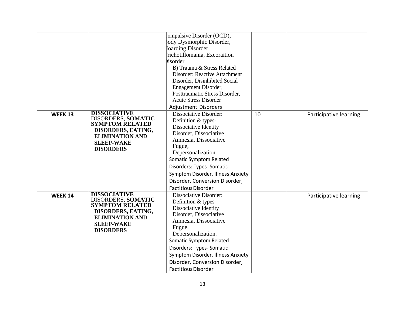|                |                                                                                                                                                              | 'ompulsive Disorder (OCD),<br>ody Dysmorphic Disorder,<br>Ioarding Disorder,<br>richotillomania, Excoraition<br>bisorder<br>B) Trauma & Stress Related<br>Disorder: Reactive Attachment<br>Disorder, Disinhibited Social<br>Engagement Disorder,<br>Posttraumatic Stress Disorder,<br><b>Acute Stress Disorder</b><br>Adjustment Disorders |    |                        |
|----------------|--------------------------------------------------------------------------------------------------------------------------------------------------------------|--------------------------------------------------------------------------------------------------------------------------------------------------------------------------------------------------------------------------------------------------------------------------------------------------------------------------------------------|----|------------------------|
| <b>WEEK 13</b> | <b>DISSOCIATIVE</b><br>DISORDERS, SOMATIC<br><b>SYMPTOM RELATED</b><br>DISORDERS, EATING,<br><b>ELIMINATION AND</b><br><b>SLEEP-WAKE</b><br><b>DISORDERS</b> | Dissociative Disorder:<br>Definition & types-<br>Dissociative Identity<br>Disorder, Dissociative<br>Amnesia, Dissociative<br>Fugue,<br>Depersonalization.<br><b>Somatic Symptom Related</b><br>Disorders: Types- Somatic<br>Symptom Disorder, Illness Anxiety<br>Disorder, Conversion Disorder,<br><b>Factitious Disorder</b>              | 10 | Participative learning |
| <b>WEEK 14</b> | <b>DISSOCIATIVE</b><br>DISORDERS, SOMATIC<br><b>SYMPTOM RELATED</b><br>DISORDERS, EATING,<br><b>ELIMINATION AND</b><br><b>SLEEP-WAKE</b><br><b>DISORDERS</b> | Dissociative Disorder:<br>Definition & types-<br>Dissociative Identity<br>Disorder, Dissociative<br>Amnesia, Dissociative<br>Fugue,<br>Depersonalization.<br>Somatic Symptom Related<br>Disorders: Types- Somatic<br>Symptom Disorder, Illness Anxiety<br>Disorder, Conversion Disorder,<br><b>Factitious Disorder</b>                     |    | Participative learning |